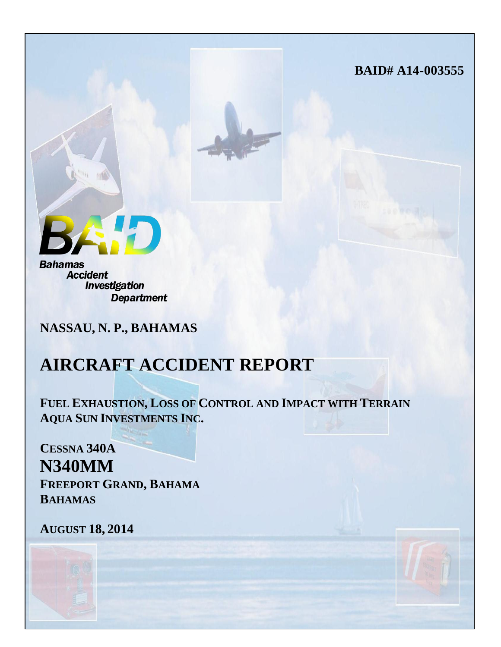**Bahamas Accident Investigation Department** 

# **NASSAU, N. P., BAHAMAS**

# **AIRCRAFT ACCIDENT REPORT**

**FUEL EXHAUSTION, LOSS OF CONTROL AND IMPACT WITH TERRAIN AQUA SUN INVESTMENTS INC.**

**CESSNA 340A N340MM FREEPORT GRAND, BAHAMA BAHAMAS**

**AUGUST 18, 2014**

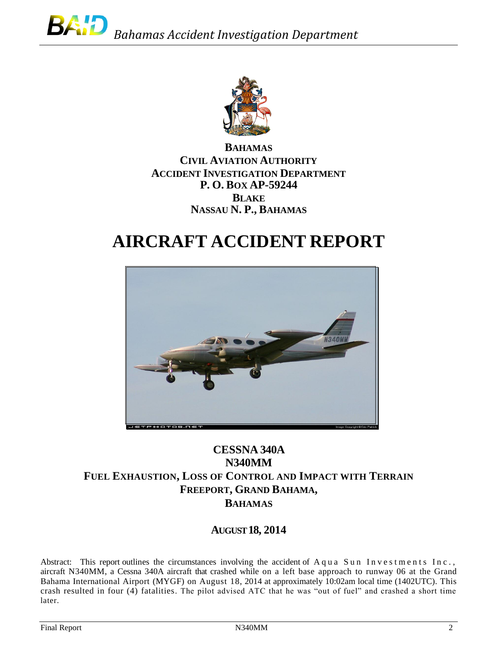

**BAHAMAS CIVIL AVIATION AUTHORITY ACCIDENT INVESTIGATION DEPARTMENT P. O. BOX AP-59244 BLAKE NASSAU N. P., BAHAMAS**

# **AIRCRAFT ACCIDENT REPORT**



# **CESSNA 340A N340MM FUEL EXHAUSTION, LOSS OF CONTROL AND IMPACT WITH TERRAIN FREEPORT, GRAND BAHAMA, BAHAMAS**

# **AUGUST 18, 2014**

Abstract: This report outlines the circumstances involving the accident of  $A$ qua Sun Investments Inc., aircraft N340MM, a Cessna 340A aircraft that crashed while on a left base approach to runway 06 at the Grand Bahama International Airport (MYGF) on August 18, 2014 at approximately 10:02am local time (1402UTC). This crash resulted in four (4) fatalities. The pilot advised ATC that he was "out of fuel" and crashed a short time later.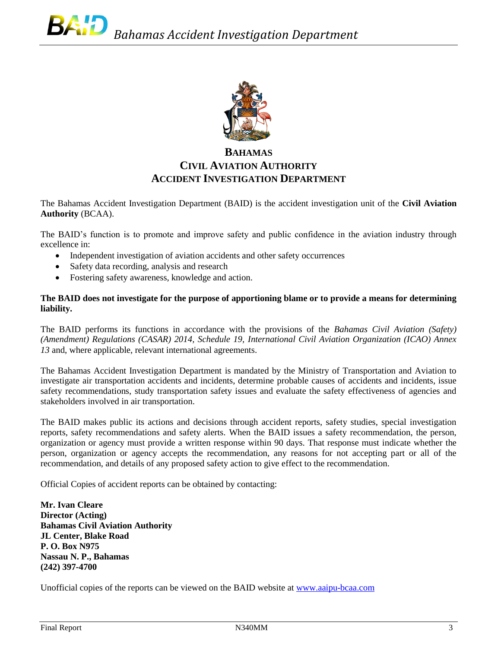

The Bahamas Accident Investigation Department (BAID) is the accident investigation unit of the **Civil Aviation Authority** (BCAA).

The BAID's function is to promote and improve safety and public confidence in the aviation industry through excellence in:

- Independent investigation of aviation accidents and other safety occurrences
- Safety data recording, analysis and research
- Fostering safety awareness, knowledge and action.

#### **The BAID does not investigate for the purpose of apportioning blame or to provide a means for determining liability.**

The BAID performs its functions in accordance with the provisions of the *Bahamas Civil Aviation (Safety) (Amendment) Regulations (CASAR) 2014, Schedule 19, International Civil Aviation Organization (ICAO) Annex 13* and, where applicable, relevant international agreements.

The Bahamas Accident Investigation Department is mandated by the Ministry of Transportation and Aviation to investigate air transportation accidents and incidents, determine probable causes of accidents and incidents, issue safety recommendations, study transportation safety issues and evaluate the safety effectiveness of agencies and stakeholders involved in air transportation.

The BAID makes public its actions and decisions through accident reports, safety studies, special investigation reports, safety recommendations and safety alerts. When the BAID issues a safety recommendation, the person, organization or agency must provide a written response within 90 days. That response must indicate whether the person, organization or agency accepts the recommendation, any reasons for not accepting part or all of the recommendation, and details of any proposed safety action to give effect to the recommendation.

Official Copies of accident reports can be obtained by contacting:

**Mr. Ivan Cleare Director (Acting) Bahamas Civil Aviation Authority JL Center, Blake Road P. O. Box N975 Nassau N. P., Bahamas (242) 397-4700**

Unofficial copies of the reports can be viewed on the BAID website at [www.aaipu-bcaa.com](http://www.aaipu-bcaa.com/)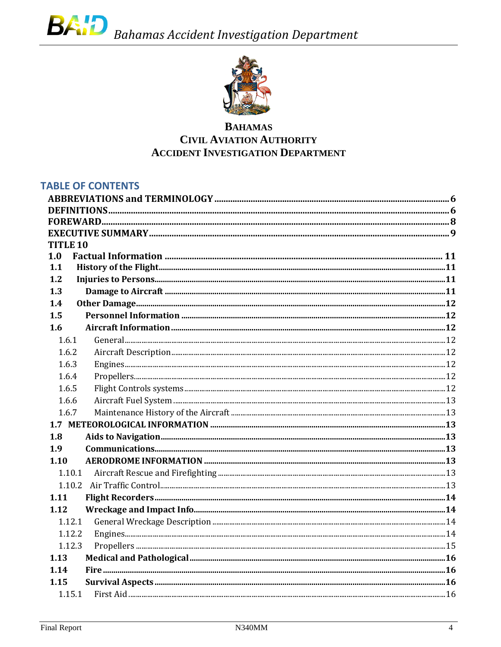

### **TABLE OF CONTENTS**

| <b>TITLE 10</b> |  |
|-----------------|--|
| 1.0<br>1.1      |  |
| 1.2             |  |
| 1.3             |  |
| 1.4             |  |
| 1.5             |  |
| 1.6             |  |
| 1.6.1           |  |
| 1.6.2           |  |
| 1.6.3           |  |
| 1.6.4           |  |
| 1.6.5           |  |
| 1.6.6           |  |
| 1.6.7           |  |
|                 |  |
| 1.8             |  |
| 1.9             |  |
| 1.10            |  |
| 1.10.1          |  |
| 1.10.2          |  |
| 1.11            |  |
| 1.12            |  |
| 1.12.1          |  |
| 1.12.2          |  |
| 1.12.3          |  |
| 1.13            |  |
| 1.14            |  |
| 1.15            |  |
| 1.15.1          |  |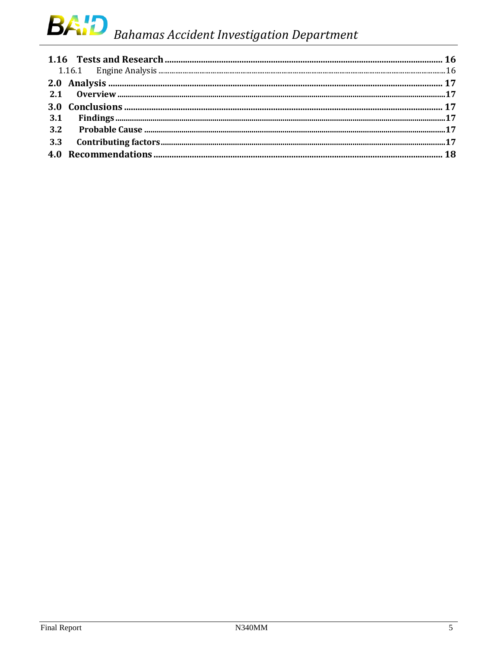# **BAD** Bahamas Accident Investigation Department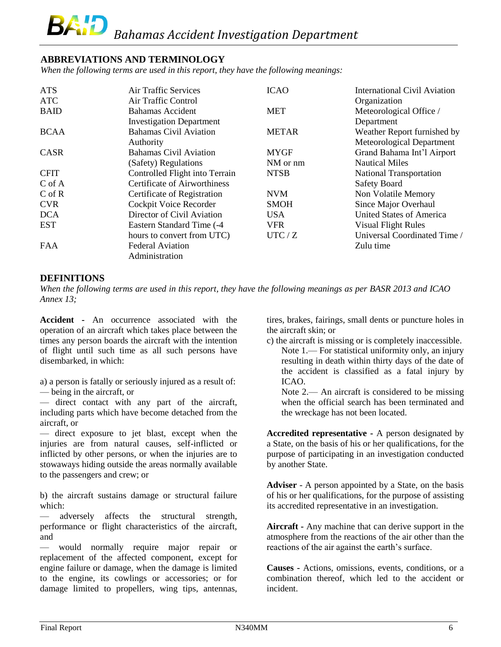#### <span id="page-5-0"></span>**ABBREVIATIONS AND TERMINOLOGY**

*When the following terms are used in this report, they have the following meanings:*

| <b>ATS</b>  | <b>Air Traffic Services</b>         | <b>ICAO</b>  | <b>International Civil Aviation</b> |
|-------------|-------------------------------------|--------------|-------------------------------------|
| <b>ATC</b>  | Air Traffic Control                 |              | Organization                        |
| <b>BAID</b> | <b>Bahamas Accident</b>             | <b>MET</b>   | Meteorological Office /             |
|             | <b>Investigation Department</b>     |              | Department                          |
| <b>BCAA</b> | <b>Bahamas Civil Aviation</b>       | <b>METAR</b> | Weather Report furnished by         |
|             | Authority                           |              | Meteorological Department           |
| <b>CASR</b> | <b>Bahamas Civil Aviation</b>       | <b>MYGF</b>  | Grand Bahama Int'l Airport          |
|             | (Safety) Regulations                | NM or nm     | <b>Nautical Miles</b>               |
| <b>CFIT</b> | Controlled Flight into Terrain      | <b>NTSB</b>  | <b>National Transportation</b>      |
| $C$ of A    | <b>Certificate of Airworthiness</b> |              | <b>Safety Board</b>                 |
| $C$ of $R$  | Certificate of Registration         | <b>NVM</b>   | Non Volatile Memory                 |
| <b>CVR</b>  | Cockpit Voice Recorder              | <b>SMOH</b>  | Since Major Overhaul                |
| <b>DCA</b>  | Director of Civil Aviation          | <b>USA</b>   | United States of America            |
| <b>EST</b>  | Eastern Standard Time (-4           | <b>VFR</b>   | <b>Visual Flight Rules</b>          |
|             | hours to convert from UTC)          | UTC/Z        | Universal Coordinated Time /        |
| <b>FAA</b>  | <b>Federal Aviation</b>             |              | Zulu time                           |
|             | Administration                      |              |                                     |

#### <span id="page-5-1"></span>**DEFINITIONS**

When the following terms are used in this report, they have the following meanings as per BASR 2013 and ICAO *Annex 13;*

**Accident -** An occurrence associated with the operation of an aircraft which takes place between the times any person boards the aircraft with the intention of flight until such time as all such persons have disembarked, in which:

- a) a person is fatally or seriously injured as a result of:
- being in the aircraft, or

— direct contact with any part of the aircraft, including parts which have become detached from the aircraft, or

— direct exposure to jet blast, except when the injuries are from natural causes, self-inflicted or inflicted by other persons, or when the injuries are to stowaways hiding outside the areas normally available to the passengers and crew; or

b) the aircraft sustains damage or structural failure which:

— adversely affects the structural strength, performance or flight characteristics of the aircraft, and

— would normally require major repair or replacement of the affected component, except for engine failure or damage, when the damage is limited to the engine, its cowlings or accessories; or for damage limited to propellers, wing tips, antennas,

tires, brakes, fairings, small dents or puncture holes in the aircraft skin; or

- c) the aircraft is missing or is completely inaccessible.
	- Note 1.— For statistical uniformity only, an injury resulting in death within thirty days of the date of the accident is classified as a fatal injury by ICAO.

Note 2.— An aircraft is considered to be missing when the official search has been terminated and the wreckage has not been located.

**Accredited representative -** A person designated by a State, on the basis of his or her qualifications, for the purpose of participating in an investigation conducted by another State.

**Adviser** - A person appointed by a State, on the basis of his or her qualifications, for the purpose of assisting its accredited representative in an investigation.

**Aircraft -** Any machine that can derive support in the atmosphere from the reactions of the air other than the reactions of the air against the earth's surface.

**Causes -** Actions, omissions, events, conditions, or a combination thereof, which led to the accident or incident.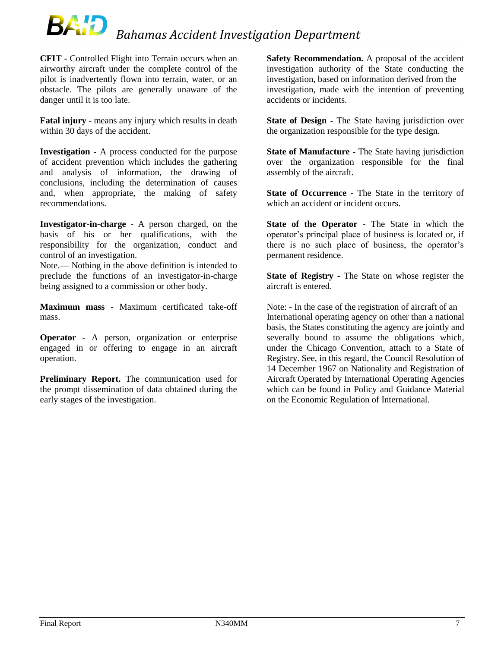**CFIT -** Controlled Flight into Terrain occurs when an airworthy aircraft under the complete control of the pilot is inadvertently flown into terrain, water, or an obstacle. The pilots are generally unaware of the danger until it is too late.

**Fatal injury** - means any injury which results in death within 30 days of the accident.

**Investigation -** A process conducted for the purpose of accident prevention which includes the gathering and analysis of information, the drawing of conclusions, including the determination of causes and, when appropriate, the making of safety recommendations.

**Investigator-in-charge -** A person charged, on the basis of his or her qualifications, with the responsibility for the organization, conduct and control of an investigation.

Note.— Nothing in the above definition is intended to preclude the functions of an investigator-in-charge being assigned to a commission or other body.

**Maximum mass -** Maximum certificated take-off mass.

**Operator -** A person, organization or enterprise engaged in or offering to engage in an aircraft operation.

**Preliminary Report.** The communication used for the prompt dissemination of data obtained during the early stages of the investigation.

**Safety Recommendation.** A proposal of the accident investigation authority of the State conducting the investigation, based on information derived from the investigation, made with the intention of preventing accidents or incidents.

**State of Design -** The State having jurisdiction over the organization responsible for the type design.

**State of Manufacture -** The State having jurisdiction over the organization responsible for the final assembly of the aircraft.

**State of Occurrence -** The State in the territory of which an accident or incident occurs.

**State of the Operator -** The State in which the operator's principal place of business is located or, if there is no such place of business, the operator's permanent residence.

**State of Registry -** The State on whose register the aircraft is entered.

Note: - In the case of the registration of aircraft of an International operating agency on other than a national basis, the States constituting the agency are jointly and severally bound to assume the obligations which, under the Chicago Convention, attach to a State of Registry. See, in this regard, the Council Resolution of 14 December 1967 on Nationality and Registration of Aircraft Operated by International Operating Agencies which can be found in Policy and Guidance Material on the Economic Regulation of International.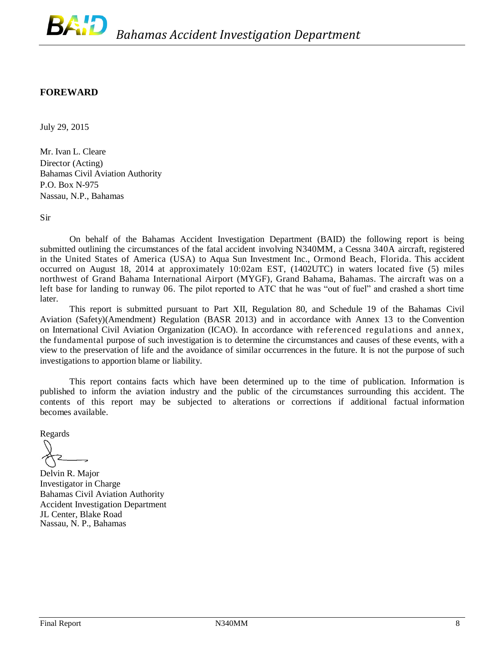#### <span id="page-7-0"></span>**FOREWARD**

July 29, 2015

Mr. Ivan L. Cleare Director (Acting) Bahamas Civil Aviation Authority P.O. Box N-975 Nassau, N.P., Bahamas

Sir

On behalf of the Bahamas Accident Investigation Department (BAID) the following report is being submitted outlining the circumstances of the fatal accident involving N340MM, a Cessna 340A aircraft, registered in the United States of America (USA) to Aqua Sun Investment Inc., Ormond Beach, Florida. This accident occurred on August 18, 2014 at approximately 10:02am EST, (1402UTC) in waters located five (5) miles northwest of Grand Bahama International Airport (MYGF), Grand Bahama, Bahamas. The aircraft was on a left base for landing to runway 06. The pilot reported to ATC that he was "out of fuel" and crashed a short time later.

This report is submitted pursuant to Part XII, Regulation 80, and Schedule 19 of the Bahamas Civil Aviation (Safety)(Amendment) Regulation (BASR 2013) and in accordance with Annex 13 to the Convention on International Civil Aviation Organization (ICAO). In accordance with referenced regulations and annex, the fundamental purpose of such investigation is to determine the circumstances and causes of these events, with a view to the preservation of life and the avoidance of similar occurrences in the future. It is not the purpose of such investigations to apportion blame or liability.

This report contains facts which have been determined up to the time of publication. Information is published to inform the aviation industry and the public of the circumstances surrounding this accident. The contents of this report may be subjected to alterations or corrections if additional factual information becomes available.

Regards

Delvin R. Major Investigator in Charge Bahamas Civil Aviation Authority Accident Investigation Department JL Center, Blake Road Nassau, N. P., Bahamas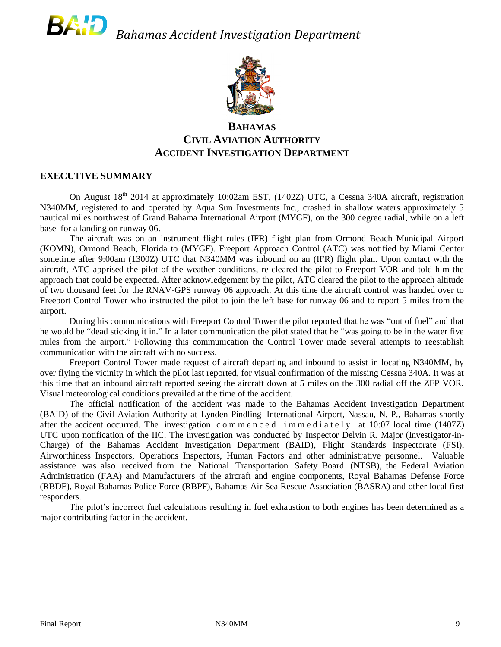

#### <span id="page-8-0"></span>**EXECUTIVE SUMMARY**

On August 18<sup>th</sup> 2014 at approximately 10:02am EST, (1402Z) UTC, a Cessna 340A aircraft, registration N340MM, registered to and operated by Aqua Sun Investments Inc., crashed in shallow waters approximately 5 nautical miles northwest of Grand Bahama International Airport (MYGF), on the 300 degree radial, while on a left base for a landing on runway 06.

The aircraft was on an instrument flight rules (IFR) flight plan from Ormond Beach Municipal Airport (KOMN), Ormond Beach, Florida to (MYGF). Freeport Approach Control (ATC) was notified by Miami Center sometime after 9:00am (1300Z) UTC that N340MM was inbound on an (IFR) flight plan. Upon contact with the aircraft, ATC apprised the pilot of the weather conditions, re-cleared the pilot to Freeport VOR and told him the approach that could be expected. After acknowledgement by the pilot, ATC cleared the pilot to the approach altitude of two thousand feet for the RNAV-GPS runway 06 approach. At this time the aircraft control was handed over to Freeport Control Tower who instructed the pilot to join the left base for runway 06 and to report 5 miles from the airport.

During his communications with Freeport Control Tower the pilot reported that he was "out of fuel" and that he would be "dead sticking it in." In a later communication the pilot stated that he "was going to be in the water five miles from the airport." Following this communication the Control Tower made several attempts to reestablish communication with the aircraft with no success.

Freeport Control Tower made request of aircraft departing and inbound to assist in locating N340MM, by over flying the vicinity in which the pilot last reported, for visual confirmation of the missing Cessna 340A. It was at this time that an inbound aircraft reported seeing the aircraft down at 5 miles on the 300 radial off the ZFP VOR. Visual meteorological conditions prevailed at the time of the accident.

The official notification of the accident was made to the Bahamas Accident Investigation Department (BAID) of the Civil Aviation Authority at Lynden Pindling International Airport, Nassau, N. P., Bahamas shortly after the accident occurred. The investigation c o m m e n c e d i m m e d i a t e l y at 10:07 local time (1407Z) UTC upon notification of the IIC. The investigation was conducted by Inspector Delvin R. Major (Investigator-in-Charge) of the Bahamas Accident Investigation Department (BAID), Flight Standards Inspectorate (FSI), Airworthiness Inspectors, Operations Inspectors, Human Factors and other administrative personnel. Valuable assistance was also received from the National Transportation Safety Board (NTSB), the Federal Aviation Administration (FAA) and Manufacturers of the aircraft and engine components, Royal Bahamas Defense Force (RBDF), Royal Bahamas Police Force (RBPF), Bahamas Air Sea Rescue Association (BASRA) and other local first responders.

The pilot's incorrect fuel calculations resulting in fuel exhaustion to both engines has been determined as a major contributing factor in the accident.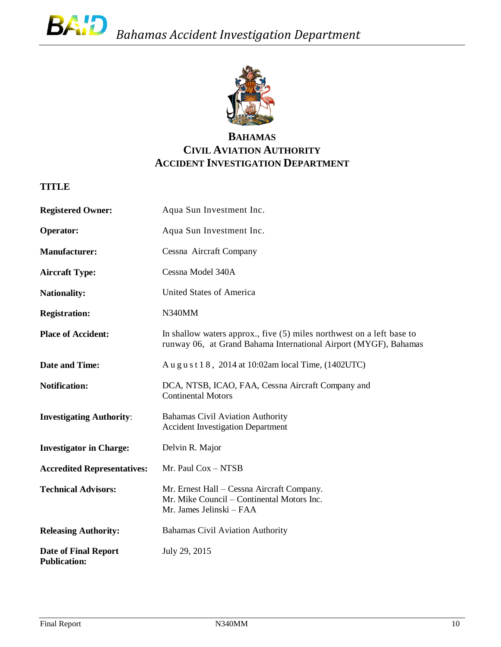

#### <span id="page-9-0"></span>**TITLE**

| <b>Registered Owner:</b>                           | Aqua Sun Investment Inc.                                                                                                                    |  |  |
|----------------------------------------------------|---------------------------------------------------------------------------------------------------------------------------------------------|--|--|
| <b>Operator:</b>                                   | Aqua Sun Investment Inc.                                                                                                                    |  |  |
| <b>Manufacturer:</b>                               | Cessna Aircraft Company                                                                                                                     |  |  |
| <b>Aircraft Type:</b>                              | Cessna Model 340A                                                                                                                           |  |  |
| <b>Nationality:</b>                                | <b>United States of America</b>                                                                                                             |  |  |
| <b>Registration:</b>                               | N340MM                                                                                                                                      |  |  |
| <b>Place of Accident:</b>                          | In shallow waters approx., five $(5)$ miles northwest on a left base to<br>runway 06, at Grand Bahama International Airport (MYGF), Bahamas |  |  |
| <b>Date and Time:</b>                              | A u g u s t 18, 2014 at 10:02am local Time, (1402UTC)                                                                                       |  |  |
| <b>Notification:</b>                               | DCA, NTSB, ICAO, FAA, Cessna Aircraft Company and<br><b>Continental Motors</b>                                                              |  |  |
| <b>Investigating Authority:</b>                    | <b>Bahamas Civil Aviation Authority</b><br><b>Accident Investigation Department</b>                                                         |  |  |
| <b>Investigator in Charge:</b>                     | Delvin R. Major                                                                                                                             |  |  |
| <b>Accredited Representatives:</b>                 | Mr. Paul Cox - NTSB                                                                                                                         |  |  |
| <b>Technical Advisors:</b>                         | Mr. Ernest Hall – Cessna Aircraft Company.<br>Mr. Mike Council – Continental Motors Inc.<br>Mr. James Jelinski – FAA                        |  |  |
| <b>Releasing Authority:</b>                        | <b>Bahamas Civil Aviation Authority</b>                                                                                                     |  |  |
| <b>Date of Final Report</b><br><b>Publication:</b> | July 29, 2015                                                                                                                               |  |  |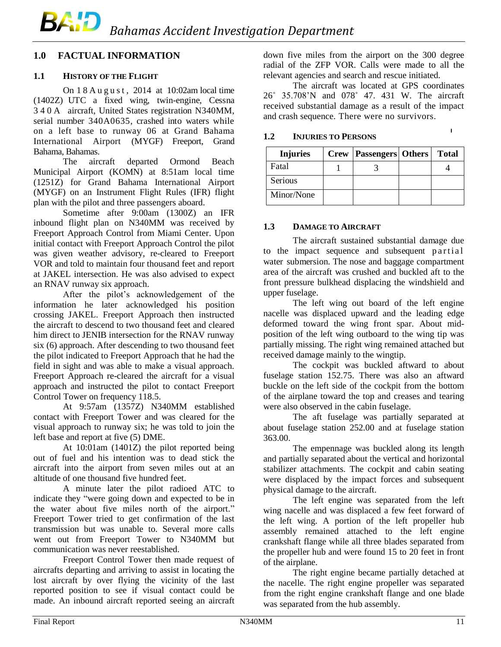#### <span id="page-10-1"></span><span id="page-10-0"></span>**1.0 FACTUAL INFORMATION**

#### **1.1 HISTORY OF THE FLIGHT**

On  $18$  A u g u s t,  $2014$  at  $10:02$ am local time (1402Z) UTC a fixed wing, twin-engine, Cessna 3 4 0 A aircraft, United States registration N340MM, serial number 340A0635, crashed into waters while on a left base to runway 06 at Grand Bahama International Airport (MYGF) Freeport, Grand Bahama, Bahamas.

The aircraft departed Ormond Beach Municipal Airport (KOMN) at 8:51am local time (1251Z) for Grand Bahama International Airport (MYGF) on an Instrument Flight Rules (IFR) flight plan with the pilot and three passengers aboard.

Sometime after 9:00am (1300Z) an IFR inbound flight plan on N340MM was received by Freeport Approach Control from Miami Center. Upon initial contact with Freeport Approach Control the pilot was given weather advisory, re-cleared to Freeport VOR and told to maintain four thousand feet and report at JAKEL intersection. He was also advised to expect an RNAV runway six approach.

After the pilot's acknowledgement of the information he later acknowledged his position crossing JAKEL. Freeport Approach then instructed the aircraft to descend to two thousand feet and cleared him direct to JENIB intersection for the RNAV runway six (6) approach. After descending to two thousand feet the pilot indicated to Freeport Approach that he had the field in sight and was able to make a visual approach. Freeport Approach re-cleared the aircraft for a visual approach and instructed the pilot to contact Freeport Control Tower on frequency 118.5.

At 9:57am (1357Z) N340MM established contact with Freeport Tower and was cleared for the visual approach to runway six; he was told to join the left base and report at five (5) DME.

At 10:01am (1401Z) the pilot reported being out of fuel and his intention was to dead stick the aircraft into the airport from seven miles out at an altitude of one thousand five hundred feet.

A minute later the pilot radioed ATC to indicate they "were going down and expected to be in the water about five miles north of the airport." Freeport Tower tried to get confirmation of the last transmission but was unable to. Several more calls went out from Freeport Tower to N340MM but communication was never reestablished.

Freeport Control Tower then made request of aircrafts departing and arriving to assist in locating the lost aircraft by over flying the vicinity of the last reported position to see if visual contact could be made. An inbound aircraft reported seeing an aircraft

down five miles from the airport on the 300 degree radial of the ZFP VOR. Calls were made to all the relevant agencies and search and rescue initiated.

The aircraft was located at GPS coordinates 26˚ 35.708'N and 078˚ 47. 431 W. The aircraft received substantial damage as a result of the impact and crash sequence. There were no survivors.

 $\mathbf{I}$ 

| <b>Injuries</b> | <b>Crew   Passengers   Others  </b> | <b>Total</b> |
|-----------------|-------------------------------------|--------------|
| Fatal           |                                     |              |
| Serious         |                                     |              |
| Minor/None      |                                     |              |

<span id="page-10-2"></span>**1.2 INJURIES TO PERSONS**

#### <span id="page-10-3"></span>**1.3 DAMAGE TO AIRCRAFT**

The aircraft sustained substantial damage due to the impact sequence and subsequent partial water submersion. The nose and baggage compartment area of the aircraft was crushed and buckled aft to the front pressure bulkhead displacing the windshield and upper fuselage.

The left wing out board of the left engine nacelle was displaced upward and the leading edge deformed toward the wing front spar. About midposition of the left wing outboard to the wing tip was partially missing. The right wing remained attached but received damage mainly to the wingtip.

The cockpit was buckled aftward to about fuselage station 152.75. There was also an aftward buckle on the left side of the cockpit from the bottom of the airplane toward the top and creases and tearing were also observed in the cabin fuselage.

The aft fuselage was partially separated at about fuselage station 252.00 and at fuselage station 363.00.

The empennage was buckled along its length and partially separated about the vertical and horizontal stabilizer attachments. The cockpit and cabin seating were displaced by the impact forces and subsequent physical damage to the aircraft.

The left engine was separated from the left wing nacelle and was displaced a few feet forward of the left wing. A portion of the left propeller hub assembly remained attached to the left engine crankshaft flange while all three blades separated from the propeller hub and were found 15 to 20 feet in front of the airplane.

The right engine became partially detached at the nacelle. The right engine propeller was separated from the right engine crankshaft flange and one blade was separated from the hub assembly.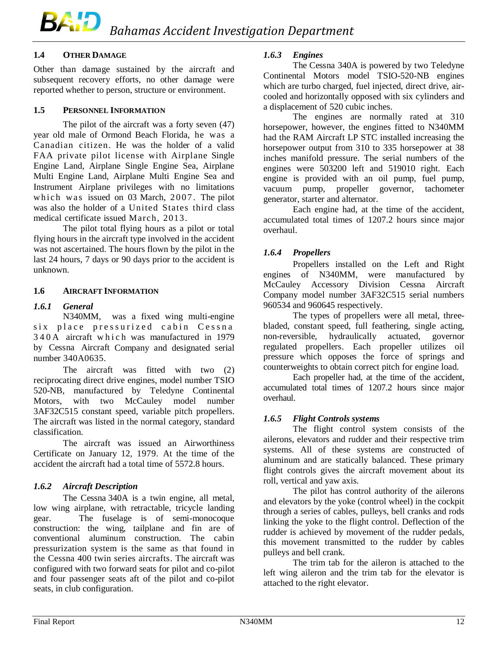#### <span id="page-11-0"></span>**1.4 OTHER DAMAGE**

Other than damage sustained by the aircraft and subsequent recovery efforts, no other damage were reported whether to person, structure or environment.

#### <span id="page-11-1"></span>**1.5 PERSONNEL INFORMATION**

The pilot of the aircraft was a forty seven (47) year old male of Ormond Beach Florida, he was a Canadian citizen. He was the holder of a valid FAA private pilot license with Airplane Single Engine Land, Airplane Single Engine Sea, Airplane Multi Engine Land, Airplane Multi Engine Sea and Instrument Airplane privileges with no limitations which was issued on 03 March,  $2007$ . The pilot was also the holder of a United States third class medical certificate issued March, 2013.

The pilot total flying hours as a pilot or total flying hours in the aircraft type involved in the accident was not ascertained. The hours flown by the pilot in the last 24 hours, 7 days or 90 days prior to the accident is unknown.

#### <span id="page-11-2"></span>**1.6 AIRCRAFT INFORMATION**

#### <span id="page-11-3"></span>*1.6.1 General*

N340MM, was a fixed wing multi-engine six place pressurized cabin Cessna 340A aircraft which was manufactured in 1979 by Cessna Aircraft Company and designated serial number 340A0635.

The aircraft was fitted with two (2) reciprocating direct drive engines, model number TSIO 520-NB, manufactured by Teledyne Continental Motors, with two McCauley model number 3AF32C515 constant speed, variable pitch propellers. The aircraft was listed in the normal category, standard classification.

The aircraft was issued an Airworthiness Certificate on January 12, 1979. At the time of the accident the aircraft had a total time of 5572.8 hours.

#### <span id="page-11-4"></span>*1.6.2 Aircraft Description*

The Cessna 340A is a twin engine, all metal, low wing airplane, with retractable, tricycle landing gear. The fuselage is of semi-monocoque construction: the wing, tailplane and fin are of conventional aluminum construction. The cabin pressurization system is the same as that found in the Cessna 400 twin series aircrafts. The aircraft was configured with two forward seats for pilot and co-pilot and four passenger seats aft of the pilot and co-pilot seats, in club configuration.

#### <span id="page-11-5"></span>*1.6.3 Engines*

The Cessna 340A is powered by two Teledyne Continental Motors model TSIO-520-NB engines which are turbo charged, fuel injected, direct drive, aircooled and horizontally opposed with six cylinders and a displacement of 520 cubic inches.

The engines are normally rated at 310 horsepower, however, the engines fitted to N340MM had the RAM Aircraft LP STC installed increasing the horsepower output from 310 to 335 horsepower at 38 inches manifold pressure. The serial numbers of the engines were 503200 left and 519010 right. Each engine is provided with an oil pump, fuel pump, vacuum pump, propeller governor, tachometer generator, starter and alternator.

Each engine had, at the time of the accident, accumulated total times of 1207.2 hours since major overhaul.

#### <span id="page-11-6"></span>*1.6.4 Propellers*

Propellers installed on the Left and Right engines of N340MM, were manufactured by McCauley Accessory Division Cessna Aircraft Company model number 3AF32C515 serial numbers 960534 and 960645 respectively.

The types of propellers were all metal, threebladed, constant speed, full feathering, single acting, non-reversible, hydraulically actuated, governor regulated propellers. Each propeller utilizes oil pressure which opposes the force of springs and counterweights to obtain correct pitch for engine load.

Each propeller had, at the time of the accident, accumulated total times of 1207.2 hours since major overhaul.

#### <span id="page-11-7"></span>*1.6.5 Flight Controls systems*

The flight control system consists of the ailerons, elevators and rudder and their respective trim systems. All of these systems are constructed of aluminum and are statically balanced. These primary flight controls gives the aircraft movement about its roll, vertical and yaw axis.

The pilot has control authority of the ailerons and elevators by the yoke (control wheel) in the cockpit through a series of cables, pulleys, bell cranks and rods linking the yoke to the flight control. Deflection of the rudder is achieved by movement of the rudder pedals, this movement transmitted to the rudder by cables pulleys and bell crank.

The trim tab for the aileron is attached to the left wing aileron and the trim tab for the elevator is attached to the right elevator.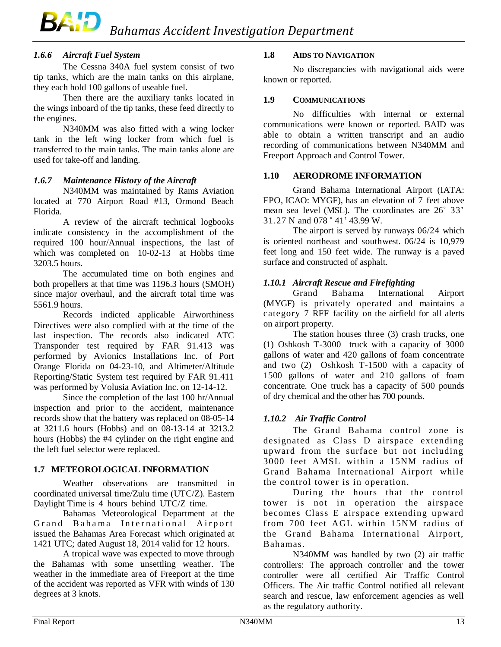#### <span id="page-12-0"></span>*1.6.6 Aircraft Fuel System*

The Cessna 340A fuel system consist of two tip tanks, which are the main tanks on this airplane, they each hold 100 gallons of useable fuel.

Then there are the auxiliary tanks located in the wings inboard of the tip tanks, these feed directly to the engines.

N340MM was also fitted with a wing locker tank in the left wing locker from which fuel is transferred to the main tanks. The main tanks alone are used for take-off and landing.

#### <span id="page-12-1"></span>*1.6.7 Maintenance History of the Aircraft*

N340MM was maintained by Rams Aviation located at 770 Airport Road #13, Ormond Beach Florida.

A review of the aircraft technical logbooks indicate consistency in the accomplishment of the required 100 hour/Annual inspections, the last of which was completed on 10-02-13 at Hobbs time 3203.5 hours.

The accumulated time on both engines and both propellers at that time was 1196.3 hours (SMOH) since major overhaul, and the aircraft total time was 5561.9 hours.

Records indicted applicable Airworthiness Directives were also complied with at the time of the last inspection. The records also indicated ATC Transponder test required by FAR 91.413 was performed by Avionics Installations Inc. of Port Orange Florida on 04-23-10, and Altimeter/Altitude Reporting/Static System test required by FAR 91.411 was performed by Volusia Aviation Inc. on 12-14-12.

Since the completion of the last 100 hr/Annual inspection and prior to the accident, maintenance records show that the battery was replaced on 08-05-14 at 3211.6 hours (Hobbs) and on 08-13-14 at 3213.2 hours (Hobbs) the #4 cylinder on the right engine and the left fuel selector were replaced.

#### <span id="page-12-2"></span>**1.7 METEOROLOGICAL INFORMATION**

Weather observations are transmitted in coordinated universal time/Zulu time (UTC/Z). Eastern Daylight Time is 4 hours behind UTC/Z time.

Bahamas Meteorological Department at the Grand Bahama International Airport issued the Bahamas Area Forecast which originated at 1421 UTC; dated August 18, 2014 valid for 12 hours.

A tropical wave was expected to move through the Bahamas with some unsettling weather. The weather in the immediate area of Freeport at the time of the accident was reported as VFR with winds of 130 degrees at 3 knots.

#### <span id="page-12-3"></span>**1.8 AIDS TO NAVIGATION**

No discrepancies with navigational aids were known or reported.

#### <span id="page-12-4"></span>**1.9 COMMUNICATIONS**

No difficulties with internal or external communications were known or reported. BAID was able to obtain a written transcript and an audio recording of communications between N340MM and Freeport Approach and Control Tower.

#### <span id="page-12-5"></span>**1.10 AERODROME INFORMATION**

Grand Bahama International Airport [\(IATA:](http://en.wikipedia.org/wiki/International_Air_Transport_Association_airport_code)  FPO, [ICAO:](http://en.wikipedia.org/wiki/International_Civil_Aviation_Organization_airport_code) MYGF), has an elevation of 7 feet above mean sea level (MSL). The coordinates are 26˚ 33' 31.27 N and 078 ˚ 41' 43.99 W.

The airport is served by runways 06/24 which is oriented northeast and southwest. 06/24 is 10,979 feet long and 150 feet wide. The runway is a paved surface and constructed of asphalt.

#### <span id="page-12-6"></span>*1.10.1 Aircraft Rescue and Firefighting*

Grand Bahama International Airport (MYGF) is privately operated and maintains a category 7 RFF facility on the airfield for all alerts on airport property.

The station houses three (3) crash trucks, one (1) Oshkosh T-3000 truck with a capacity of 3000 gallons of water and 420 gallons of foam concentrate and two (2) Oshkosh T-1500 with a capacity of 1500 gallons of water and 210 gallons of foam concentrate. One truck has a capacity of 500 pounds of dry chemical and the other has 700 pounds.

#### <span id="page-12-7"></span>*1.10.2 Air Traffic Control*

The Grand Bahama control zone is designated as Class D airspace extending upward from the surface but not including 3000 feet AMSL within a 15NM radius of Grand Bahama International Airport while the control tower is in operation.

During the hours that the control tower is not in operation the airspace becomes Class E airspace extending upward from 700 feet AGL within 15NM radius of the Grand Bahama International Airport, Bahamas.

N340MM was handled by two (2) air traffic controllers: The approach controller and the tower controller were all certified Air Traffic Control Officers. The Air traffic Control notified all relevant search and rescue, law enforcement agencies as well as the regulatory authority.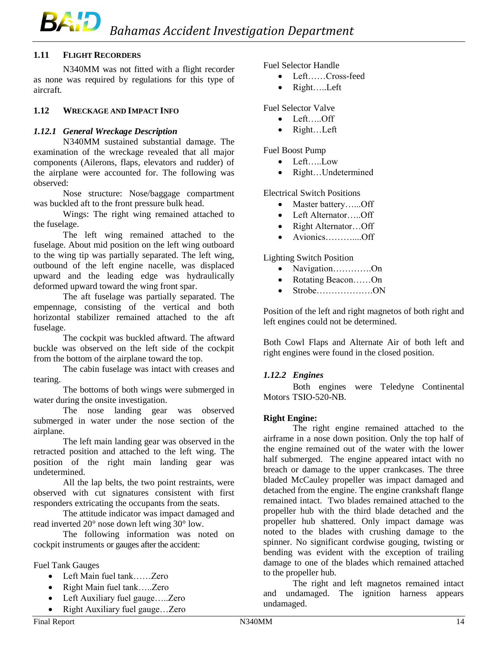#### <span id="page-13-0"></span>**1.11 FLIGHT RECORDERS**

N340MM was not fitted with a flight recorder as none was required by regulations for this type of aircraft.

#### <span id="page-13-1"></span>**1.12 WRECKAGE AND IMPACT INFO**

#### <span id="page-13-2"></span>*1.12.1 General Wreckage Description*

N340MM sustained substantial damage. The examination of the wreckage revealed that all major components (Ailerons, flaps, elevators and rudder) of the airplane were accounted for. The following was observed:

Nose structure: Nose/baggage compartment was buckled aft to the front pressure bulk head.

Wings: The right wing remained attached to the fuselage.

The left wing remained attached to the fuselage. About mid position on the left wing outboard to the wing tip was partially separated. The left wing, outbound of the left engine nacelle, was displaced upward and the leading edge was hydraulically deformed upward toward the wing front spar.

The aft fuselage was partially separated. The empennage, consisting of the vertical and both horizontal stabilizer remained attached to the aft fuselage.

The cockpit was buckled aftward. The aftward buckle was observed on the left side of the cockpit from the bottom of the airplane toward the top.

The cabin fuselage was intact with creases and tearing.

The bottoms of both wings were submerged in water during the onsite investigation.

The nose landing gear was observed submerged in water under the nose section of the airplane.

The left main landing gear was observed in the retracted position and attached to the left wing. The position of the right main landing gear was undetermined.

All the lap belts, the two point restraints, were observed with cut signatures consistent with first responders extricating the occupants from the seats.

The attitude indicator was impact damaged and read inverted 20° nose down left wing 30° low.

The following information was noted on cockpit instruments or gauges after the accident:

#### Fuel Tank Gauges

- Left Main fuel tank……Zero
- Right Main fuel tank…..Zero
- Left Auxiliary fuel gauge…..Zero
- Right Auxiliary fuel gauge...Zero

Fuel Selector Handle

- Left……Cross-feed
- Right…..Left

Fuel Selector Valve

- Left…..Off
- Right…Left

Fuel Boost Pump

- Left…..Low
- Right…Undetermined

Electrical Switch Positions

- Master battery......Off
- Left Alternator…..Off
- Right Alternator…Off
- Avionics………....Off

Lighting Switch Position

- Navigation………….On
- Rotating Beacon……On
- Strobe……………….ON

Position of the left and right magnetos of both right and left engines could not be determined.

Both Cowl Flaps and Alternate Air of both left and right engines were found in the closed position.

#### <span id="page-13-3"></span>*1.12.2 Engines*

Both engines were Teledyne Continental Motors TSIO-520-NB.

#### **Right Engine:**

The right engine remained attached to the airframe in a nose down position. Only the top half of the engine remained out of the water with the lower half submerged. The engine appeared intact with no breach or damage to the upper crankcases. The three bladed McCauley propeller was impact damaged and detached from the engine. The engine crankshaft flange remained intact. Two blades remained attached to the propeller hub with the third blade detached and the propeller hub shattered. Only impact damage was noted to the blades with crushing damage to the spinner. No significant cordwise gouging, twisting or bending was evident with the exception of trailing damage to one of the blades which remained attached to the propeller hub.

The right and left magnetos remained intact and undamaged. The ignition harness appears undamaged.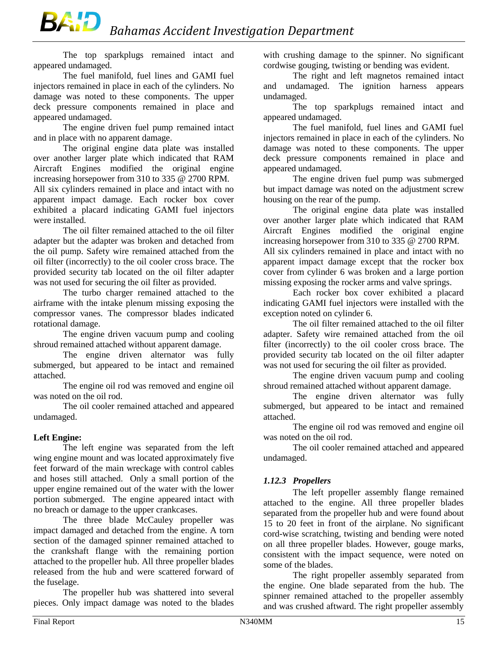The top sparkplugs remained intact and appeared undamaged.

The fuel manifold, fuel lines and GAMI fuel injectors remained in place in each of the cylinders. No damage was noted to these components. The upper deck pressure components remained in place and appeared undamaged.

The engine driven fuel pump remained intact and in place with no apparent damage.

The original engine data plate was installed over another larger plate which indicated that RAM Aircraft Engines modified the original engine increasing horsepower from 310 to 335 @ 2700 RPM.

All six cylinders remained in place and intact with no apparent impact damage. Each rocker box cover exhibited a placard indicating GAMI fuel injectors were installed.

The oil filter remained attached to the oil filter adapter but the adapter was broken and detached from the oil pump. Safety wire remained attached from the oil filter (incorrectly) to the oil cooler cross brace. The provided security tab located on the oil filter adapter was not used for securing the oil filter as provided.

The turbo charger remained attached to the airframe with the intake plenum missing exposing the compressor vanes. The compressor blades indicated rotational damage.

The engine driven vacuum pump and cooling shroud remained attached without apparent damage.

The engine driven alternator was fully submerged, but appeared to be intact and remained attached.

The engine oil rod was removed and engine oil was noted on the oil rod.

The oil cooler remained attached and appeared undamaged.

#### **Left Engine:**

The left engine was separated from the left wing engine mount and was located approximately five feet forward of the main wreckage with control cables and hoses still attached. Only a small portion of the upper engine remained out of the water with the lower portion submerged. The engine appeared intact with no breach or damage to the upper crankcases.

The three blade McCauley propeller was impact damaged and detached from the engine. A torn section of the damaged spinner remained attached to the crankshaft flange with the remaining portion attached to the propeller hub. All three propeller blades released from the hub and were scattered forward of the fuselage.

The propeller hub was shattered into several pieces. Only impact damage was noted to the blades

with crushing damage to the spinner. No significant cordwise gouging, twisting or bending was evident.

The right and left magnetos remained intact and undamaged. The ignition harness appears undamaged.

The top sparkplugs remained intact and appeared undamaged.

The fuel manifold, fuel lines and GAMI fuel injectors remained in place in each of the cylinders. No damage was noted to these components. The upper deck pressure components remained in place and appeared undamaged.

The engine driven fuel pump was submerged but impact damage was noted on the adjustment screw housing on the rear of the pump.

The original engine data plate was installed over another larger plate which indicated that RAM Aircraft Engines modified the original engine increasing horsepower from 310 to 335 @ 2700 RPM. All six cylinders remained in place and intact with no apparent impact damage except that the rocker box cover from cylinder 6 was broken and a large portion missing exposing the rocker arms and valve springs.

Each rocker box cover exhibited a placard indicating GAMI fuel injectors were installed with the exception noted on cylinder 6.

The oil filter remained attached to the oil filter adapter. Safety wire remained attached from the oil filter (incorrectly) to the oil cooler cross brace. The provided security tab located on the oil filter adapter was not used for securing the oil filter as provided.

The engine driven vacuum pump and cooling shroud remained attached without apparent damage.

The engine driven alternator was fully submerged, but appeared to be intact and remained attached.

The engine oil rod was removed and engine oil was noted on the oil rod.

The oil cooler remained attached and appeared undamaged.

#### <span id="page-14-0"></span>*1.12.3 Propellers*

The left propeller assembly flange remained attached to the engine. All three propeller blades separated from the propeller hub and were found about 15 to 20 feet in front of the airplane. No significant cord-wise scratching, twisting and bending were noted on all three propeller blades. However, gouge marks, consistent with the impact sequence, were noted on some of the blades.

The right propeller assembly separated from the engine. One blade separated from the hub. The spinner remained attached to the propeller assembly and was crushed aftward. The right propeller assembly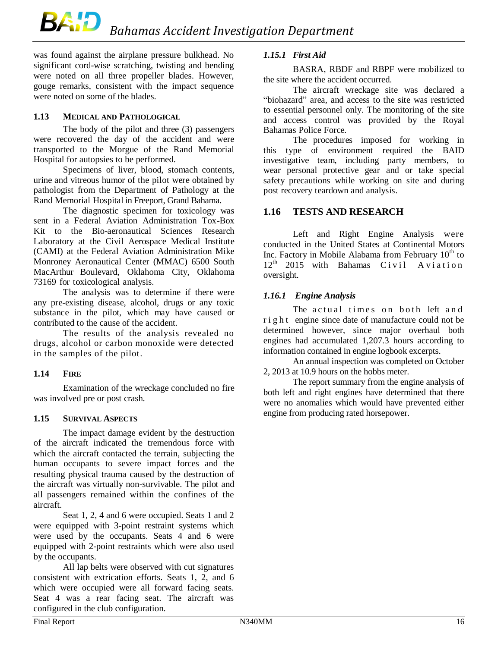was found against the airplane pressure bulkhead. No significant cord-wise scratching, twisting and bending were noted on all three propeller blades. However, gouge remarks, consistent with the impact sequence were noted on some of the blades.

#### <span id="page-15-0"></span>**1.13 MEDICAL AND PATHOLOGICAL**

The body of the pilot and three (3) passengers were recovered the day of the accident and were transported to the Morgue of the Rand Memorial Hospital for autopsies to be performed.

Specimens of liver, blood, stomach contents, urine and vitreous humor of the pilot were obtained by pathologist from the Department of Pathology at the Rand Memorial Hospital in Freeport, Grand Bahama.

The diagnostic specimen for toxicology was sent in a Federal Aviation Administration Tox-Box Kit to the Bio-aeronautical Sciences Research Laboratory at the Civil Aerospace Medical Institute (CAMI) at the Federal Aviation Administration Mike Monroney Aeronautical Center (MMAC) 6500 South MacArthur Boulevard, Oklahoma City, Oklahoma 73169 for toxicological analysis.

The analysis was to determine if there were any pre-existing disease, alcohol, drugs or any toxic substance in the pilot, which may have caused or contributed to the cause of the accident.

The results of the analysis revealed no drugs, alcohol or carbon monoxide were detected in the samples of the pilot.

#### <span id="page-15-1"></span>**1.14 FIRE**

Examination of the wreckage concluded no fire was involved pre or post crash.

#### <span id="page-15-2"></span>**1.15 SURVIVAL ASPECTS**

The impact damage evident by the destruction of the aircraft indicated the tremendous force with which the aircraft contacted the terrain, subjecting the human occupants to severe impact forces and the resulting physical trauma caused by the destruction of the aircraft was virtually non-survivable. The pilot and all passengers remained within the confines of the aircraft.

Seat 1, 2, 4 and 6 were occupied. Seats 1 and 2 were equipped with 3-point restraint systems which were used by the occupants. Seats 4 and 6 were equipped with 2-point restraints which were also used by the occupants.

All lap belts were observed with cut signatures consistent with extrication efforts. Seats 1, 2, and 6 which were occupied were all forward facing seats. Seat 4 was a rear facing seat. The aircraft was configured in the club configuration.

#### <span id="page-15-3"></span>*1.15.1 First Aid*

BASRA, RBDF and RBPF were mobilized to the site where the accident occurred.

The aircraft wreckage site was declared a "biohazard" area, and access to the site was restricted to essential personnel only. The monitoring of the site and access control was provided by the Royal Bahamas Police Force.

The procedures imposed for working in this type of environment required the BAID investigative team, including party members, to wear personal protective gear and or take special safety precautions while working on site and during post recovery teardown and analysis.

#### <span id="page-15-4"></span>**1.16 TESTS AND RESEARCH**

Left and Right Engine Analysis were conducted in the United States at Continental Motors Inc. Factory in Mobile Alabama from February  $10^{th}$  to  $12<sup>th</sup>$  2015 with Bahamas Civil Aviation oversight.

#### <span id="page-15-5"></span>*1.16.1 Engine Analysis*

The actual times on both left and r i g h t engine since date of manufacture could not be determined however, since major overhaul both engines had accumulated 1,207.3 hours according to information contained in engine logbook excerpts.

An annual inspection was completed on October 2, 2013 at 10.9 hours on the hobbs meter.

The report summary from the engine analysis of both left and right engines have determined that there were no anomalies which would have prevented either engine from producing rated horsepower.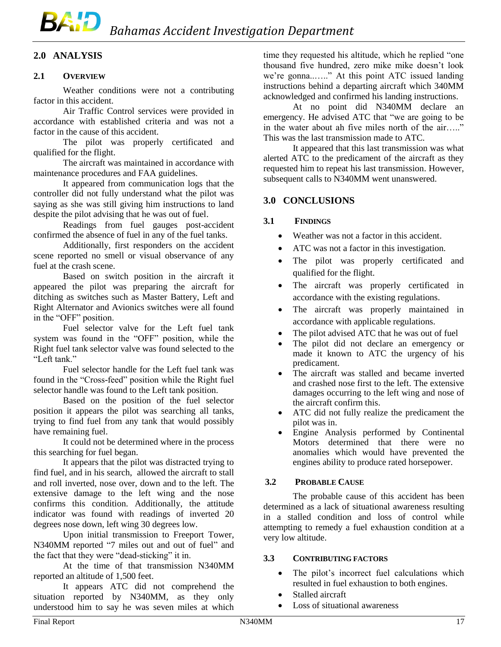#### <span id="page-16-1"></span><span id="page-16-0"></span>**2.0 ANALYSIS**

#### **2.1 OVERVIEW**

Weather conditions were not a contributing factor in this accident.

Air Traffic Control services were provided in accordance with established criteria and was not a factor in the cause of this accident.

The pilot was properly certificated and qualified for the flight.

The aircraft was maintained in accordance with maintenance procedures and FAA guidelines.

It appeared from communication logs that the controller did not fully understand what the pilot was saying as she was still giving him instructions to land despite the pilot advising that he was out of fuel.

Readings from fuel gauges post-accident confirmed the absence of fuel in any of the fuel tanks.

Additionally, first responders on the accident scene reported no smell or visual observance of any fuel at the crash scene.

Based on switch position in the aircraft it appeared the pilot was preparing the aircraft for ditching as switches such as Master Battery, Left and Right Alternator and Avionics switches were all found in the "OFF" position.

Fuel selector valve for the Left fuel tank system was found in the "OFF" position, while the Right fuel tank selector valve was found selected to the "Left tank."

Fuel selector handle for the Left fuel tank was found in the "Cross-feed" position while the Right fuel selector handle was found to the Left tank position.

Based on the position of the fuel selector position it appears the pilot was searching all tanks, trying to find fuel from any tank that would possibly have remaining fuel.

It could not be determined where in the process this searching for fuel began.

It appears that the pilot was distracted trying to find fuel, and in his search, allowed the aircraft to stall and roll inverted, nose over, down and to the left. The extensive damage to the left wing and the nose confirms this condition. Additionally, the attitude indicator was found with readings of inverted 20 degrees nose down, left wing 30 degrees low.

Upon initial transmission to Freeport Tower, N340MM reported "7 miles out and out of fuel" and the fact that they were "dead-sticking" it in.

At the time of that transmission N340MM reported an altitude of 1,500 feet.

It appears ATC did not comprehend the situation reported by N340MM, as they only understood him to say he was seven miles at which

time they requested his altitude, which he replied "one thousand five hundred, zero mike mike doesn't look we're gonna..….." At this point ATC issued landing instructions behind a departing aircraft which 340MM acknowledged and confirmed his landing instructions.

At no point did N340MM declare an emergency. He advised ATC that "we are going to be in the water about ah five miles north of the air….." This was the last transmission made to ATC.

It appeared that this last transmission was what alerted ATC to the predicament of the aircraft as they requested him to repeat his last transmission. However, subsequent calls to N340MM went unanswered.

#### <span id="page-16-2"></span>**3.0 CONCLUSIONS**

#### <span id="page-16-3"></span>**3.1 FINDINGS**

- Weather was not a factor in this accident.
- ATC was not a factor in this investigation.
- The pilot was properly certificated and qualified for the flight.
- The aircraft was properly certificated in accordance with the existing regulations.
- The aircraft was properly maintained in accordance with applicable regulations.
- The pilot advised ATC that he was out of fuel
- The pilot did not declare an emergency or made it known to ATC the urgency of his predicament.
- The aircraft was stalled and became inverted and crashed nose first to the left. The extensive damages occurring to the left wing and nose of the aircraft confirm this.
- ATC did not fully realize the predicament the pilot was in.
- Engine Analysis performed by Continental Motors determined that there were no anomalies which would have prevented the engines ability to produce rated horsepower.

#### <span id="page-16-4"></span>**3.2 PROBABLE CAUSE**

The probable cause of this accident has been determined as a lack of situational awareness resulting in a stalled condition and loss of control while attempting to remedy a fuel exhaustion condition at a very low altitude.

#### <span id="page-16-5"></span>**3.3 CONTRIBUTING FACTORS**

- The pilot's incorrect fuel calculations which resulted in fuel exhaustion to both engines.
- Stalled aircraft
- Loss of situational awareness